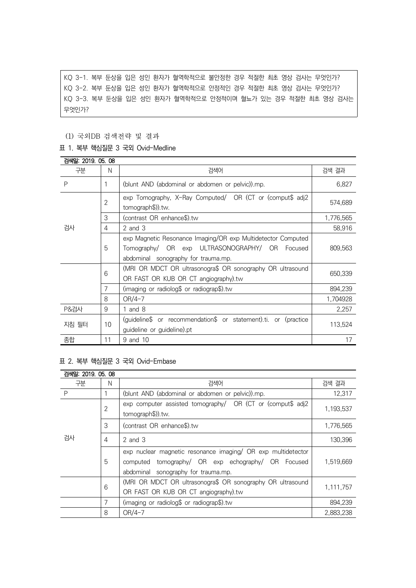KQ 3-1. 복부 둔상을 입은 성인 환자가 혈역학적으로 불안정한 경우 적절한 최초 영상 검사는 무엇인가? KQ 3-2. 복부 둔상을 입은 성인 환자가 혈역학적으로 안정적인 경우 적절한 최초 영상 검사는 무엇인가? KQ 3-3. 복부 둔상을 입은 성인 환자가 혈역학적으로 안정적이며 혈뇨가 있는 경우 적절한 최초 영상 검사는 무엇인가?

### (1) 국외DB 검색전략 및 결과

## 표 1. 복부 핵심질문 3 국외 Ovid-Medline

| 검색일: 2019. 05. 08 |                |                                                                                                                                                       |           |  |
|-------------------|----------------|-------------------------------------------------------------------------------------------------------------------------------------------------------|-----------|--|
| 구분                | N              | 검색어                                                                                                                                                   | 검색 결과     |  |
| P                 |                | (blunt AND (abdominal or abdomen or pelvic)).mp.                                                                                                      | 6,827     |  |
|                   | $\overline{2}$ | exp Tomography, X-Ray Computed/ OR (CT or (comput\$ adj2<br>tomograph\$)).tw.                                                                         | 574,689   |  |
|                   | 3              | (contrast OR enhance\$).tw                                                                                                                            | 1,776,565 |  |
| 검사                | 4              | $2$ and $3$                                                                                                                                           | 58,916    |  |
|                   | 5              | exp Magnetic Resonance Imaging/OR exp Multidetector Computed<br>Tomography/ OR exp ULTRASONOGRAPHY/ OR Focused<br>abdominal sonography for trauma.mp. | 809,563   |  |
|                   | 6              | (MRI OR MDCT OR ultrasonogra\$ OR sonography OR ultrasound<br>OR FAST OR KUB OR CT angiography).tw                                                    | 650,339   |  |
|                   | 7              | (imaging or radiolog\$ or radiograp\$).tw                                                                                                             | 894,239   |  |
|                   | 8              | $OR/4-7$                                                                                                                                              | 1,704928  |  |
| <b>P&amp;검사</b>   | 9              | 1 and $8$                                                                                                                                             | 2,257     |  |
| 지침 필터             | 10             | (guideline\$ or recommendation\$ or statement).ti. or (practice<br>guideline or guideline).pt                                                         | 113,524   |  |
| 종합                | 11             | 9 and 10                                                                                                                                              | 17        |  |

#### 표 2. 복부 핵심질문 3 국외 Ovid-Embase

| 검색일: 2019, 05, 08 |                |                                                                                                                                                           |           |
|-------------------|----------------|-----------------------------------------------------------------------------------------------------------------------------------------------------------|-----------|
| 구분                | Ν              | 검색어                                                                                                                                                       | 검색 결과     |
| P                 |                | (blunt AND (abdominal or abdomen or pelvic)).mp.                                                                                                          | 12,317    |
| 검사                | $\overline{2}$ | exp computer assisted tomography/ OR (CT or (comput\$ adj2<br>tomograph\$)).tw.                                                                           | 1,193,537 |
|                   | 3              | (contrast OR enhance\$).tw                                                                                                                                | 1,776,565 |
|                   | 4              | $2$ and $3$                                                                                                                                               | 130,396   |
|                   | 5              | exp nuclear magnetic resonance imaging/ OR exp multidetector<br>computed tomography/ OR exp echography/ OR Focused<br>abdominal sonography for trauma.mp. | 1,519,669 |
|                   | 6              | (MRI OR MDCT OR ultrasonogra\$ OR sonography OR ultrasound<br>OR FAST OR KUB OR CT angiography).tw                                                        | 1,111,757 |
|                   | 7              | (imaging or radiolog\$ or radiograp\$).tw                                                                                                                 | 894,239   |
|                   | 8              | $OR/4-7$                                                                                                                                                  | 2,883,238 |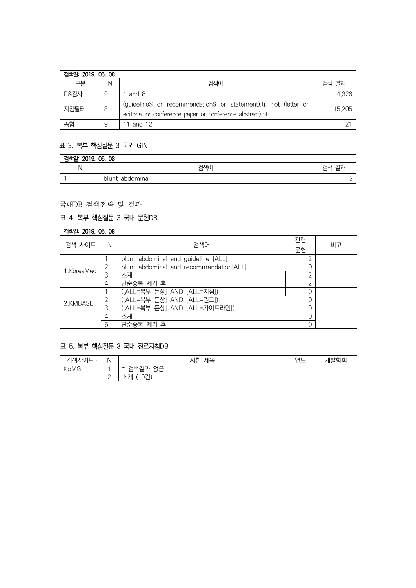| 검색일: 2019, 05, 08 |   |                                                                                                                                |         |
|-------------------|---|--------------------------------------------------------------------------------------------------------------------------------|---------|
| 구분                | Ν | 검색어                                                                                                                            | 검색 결과   |
| <b>P&amp;검사</b>   | 9 | and 8                                                                                                                          | 4,326   |
| 지침필터              |   | (guideline\$ or recommendation\$ or statement).ti. not (letter or<br>editorial or conference paper or conference abstract).pt. | 115,205 |
| 종합                |   | 11 and 12                                                                                                                      |         |

#### 표 3. 복부 핵심질문 3 국외 GIN

| 검색일:<br>2019. 05. 08 |                    |       |  |
|----------------------|--------------------|-------|--|
| N                    | 검색어                | 검색 결과 |  |
|                      | abdominal<br>blunt | -     |  |

# 국내DB 검색전략 및 결과

# 표 4. 복부 핵심질문 3 국내 문헌DB

| 검색일: 2019. 05. 08 |   |                                         |    |    |
|-------------------|---|-----------------------------------------|----|----|
| 검색 사이트            | N | 검색어                                     | 관련 |    |
|                   |   |                                         | 문헌 | 비고 |
| 1.KoreaMed        |   | blunt abdominal and guideline [ALL]     | っ  |    |
|                   | 2 | blunt abdominal and recommendation[ALL] |    |    |
|                   | 3 | 소계                                      | っ  |    |
|                   | 4 | 단순중복 제거 후                               | っ  |    |
| 2.KMBASE          |   | ([ALL=복부 둔상] AND [ALL=지침])              |    |    |
|                   | 2 | ([ALL=복부 둔상] AND [ALL=권고])              |    |    |
|                   | 3 | ([ALL=복부 둔상] AND [ALL=가이드라인])           |    |    |
|                   | 4 | 소계                                      | 0  |    |
|                   | 5 | 단순중복 제거 후                               |    |    |

## 표 5. 복부 핵심질문 3 국내 진료지침DB

| 검색사이트 | N<br>. . | 제목<br>지침                                 | $\sim$ $-$<br>⊶<br>_ | 개발학회 |
|-------|----------|------------------------------------------|----------------------|------|
| KoMGI |          | 없음<br>$T_{\rm H}$<br>걱색결.<br>-<br>$\ast$ |                      |      |
|       | <u>_</u> | 0건)<br>계<br>$\lambda$<br>--<br>─         |                      |      |